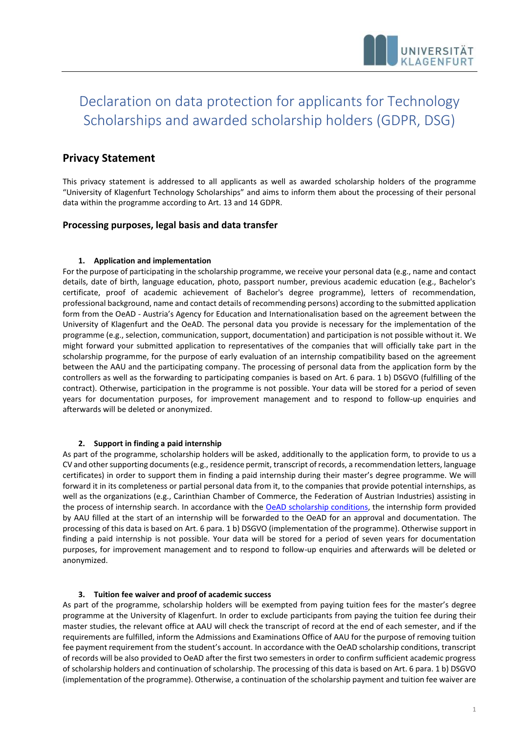# Declaration on data protection for applicants for Technology Scholarships and awarded scholarship holders (GDPR, DSG)

## **Privacy Statement**

This privacy statement is addressed to all applicants as well as awarded scholarship holders of the programme "University of Klagenfurt Technology Scholarships" and aims to inform them about the processing of their personal data within the programme according to Art. 13 and 14 GDPR.

## **Processing purposes, legal basis and data transfer**

### **1. Application and implementation**

For the purpose of participating in the scholarship programme, we receive your personal data (e.g., name and contact details, date of birth, language education, photo, passport number, previous academic education (e.g., Bachelor's certificate, proof of academic achievement of Bachelor's degree programme), letters of recommendation, professional background, name and contact details of recommending persons) according to the submitted application form from the OeAD - Austria's Agency for Education and Internationalisation based on the agreement between the University of Klagenfurt and the OeAD. The personal data you provide is necessary for the implementation of the programme (e.g., selection, communication, support, documentation) and participation is not possible without it. We might forward your submitted application to representatives of the companies that will officially take part in the scholarship programme, for the purpose of early evaluation of an internship compatibility based on the agreement between the AAU and the participating company. The processing of personal data from the application form by the controllers as well as the forwarding to participating companies is based on Art. 6 para. 1 b) DSGVO (fulfilling of the contract). Otherwise, participation in the programme is not possible. Your data will be stored for a period of seven years for documentation purposes, for improvement management and to respond to follow-up enquiries and afterwards will be deleted or anonymized.

## **2. Support in finding a paid internship**

As part of the programme, scholarship holders will be asked, additionally to the application form, to provide to us a CV and other supporting documents (e.g., residence permit, transcript of records, a recommendation letters, language certificates) in order to support them in finding a paid internship during their master's degree programme. We will forward it in its completeness or partial personal data from it, to the companies that provide potential internships, as well as the organizations (e.g., Carinthian Chamber of Commerce, the Federation of Austrian Industries) assisting in the process of internship search. In accordance with the [OeAD scholarship conditions,](https://oead.at/fileadmin/Dokumente/oead.at/ICM/Scholars/IN_ScholarshipConditions.pdf) the internship form provided by AAU filled at the start of an internship will be forwarded to the OeAD for an approval and documentation. The processing of this data is based on Art. 6 para. 1 b) DSGVO (implementation of the programme). Otherwise support in finding a paid internship is not possible. Your data will be stored for a period of seven years for documentation purposes, for improvement management and to respond to follow-up enquiries and afterwards will be deleted or anonymized.

## **3. Tuition fee waiver and proof of academic success**

As part of the programme, scholarship holders will be exempted from paying tuition fees for the master's degree programme at the University of Klagenfurt. In order to exclude participants from paying the tuition fee during their master studies, the relevant office at AAU will check the transcript of record at the end of each semester, and if the requirements are fulfilled, inform the Admissions and Examinations Office of AAU for the purpose of removing tuition fee payment requirement from the student's account. In accordance with the OeAD scholarship conditions, transcript of records will be also provided to OeAD after the first two semesters in order to confirm sufficient academic progress of scholarship holders and continuation of scholarship. The processing of this data is based on Art. 6 para. 1 b) DSGVO (implementation of the programme). Otherwise, a continuation of the scholarship payment and tuition fee waiver are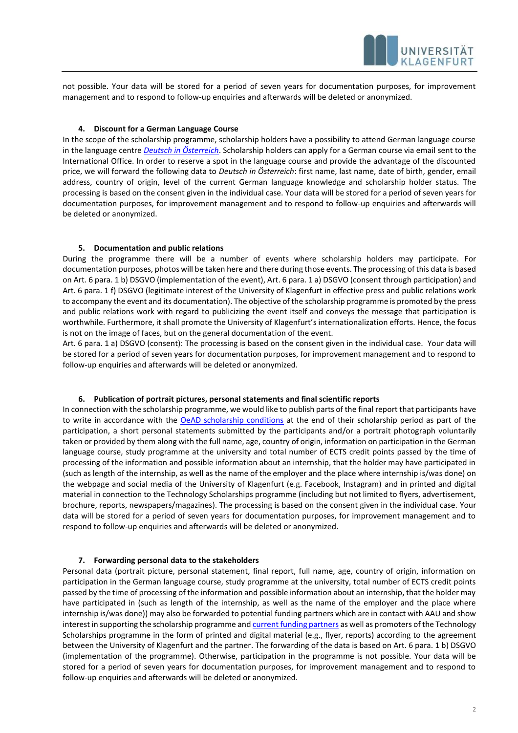

not possible. Your data will be stored for a period of seven years for documentation purposes, for improvement management and to respond to follow-up enquiries and afterwards will be deleted or anonymized.

#### **4. Discount for a German Language Course**

In the scope of the scholarship programme, scholarship holders have a possibility to attend German language course in the language centre *[Deutsch in Österreich](https://dia.aau.at/)*. Scholarship holders can apply for a German course via email sent to the International Office. In order to reserve a spot in the language course and provide the advantage of the discounted price, we will forward the following data to *Deutsch in Österreich*: first name, last name, date of birth, gender, email address, country of origin, level of the current German language knowledge and scholarship holder status. The processing is based on the consent given in the individual case. Your data will be stored for a period of seven years for documentation purposes, for improvement management and to respond to follow-up enquiries and afterwards will be deleted or anonymized.

#### **5. Documentation and public relations**

During the programme there will be a number of events where scholarship holders may participate. For documentation purposes, photos will be taken here and there during those events. The processing of this data is based on Art. 6 para. 1 b) DSGVO (implementation of the event), Art. 6 para. 1 a) DSGVO (consent through participation) and Art. 6 para. 1 f) DSGVO (legitimate interest of the University of Klagenfurt in effective press and public relations work to accompany the event and its documentation). The objective of the scholarship programme is promoted by the press and public relations work with regard to publicizing the event itself and conveys the message that participation is worthwhile. Furthermore, it shall promote the University of Klagenfurt's internationalization efforts. Hence, the focus is not on the image of faces, but on the general documentation of the event.

Art. 6 para. 1 a) DSGVO (consent): The processing is based on the consent given in the individual case. Your data will be stored for a period of seven years for documentation purposes, for improvement management and to respond to follow-up enquiries and afterwards will be deleted or anonymized.

#### **6. Publication of portrait pictures, personal statements and final scientific reports**

In connection with the scholarship programme, we would like to publish parts of the final report that participants have to write in accordance with the [OeAD scholarship conditions](https://oead.at/fileadmin/Dokumente/oead.at/ICM/Scholars/IN_ScholarshipConditions.pdf) at the end of their scholarship period as part of the participation, a short personal statements submitted by the participants and/or a portrait photograph voluntarily taken or provided by them along with the full name, age, country of origin, information on participation in the German language course, study programme at the university and total number of ECTS credit points passed by the time of processing of the information and possible information about an internship, that the holder may have participated in (such as length of the internship, as well as the name of the employer and the place where internship is/was done) on the webpage and social media of the University of Klagenfurt (e.g. Facebook, Instagram) and in printed and digital material in connection to the Technology Scholarships programme (including but not limited to flyers, advertisement, brochure, reports, newspapers/magazines). The processing is based on the consent given in the individual case. Your data will be stored for a period of seven years for documentation purposes, for improvement management and to respond to follow-up enquiries and afterwards will be deleted or anonymized.

#### **7. Forwarding personal data to the stakeholders**

Personal data (portrait picture, personal statement, final report, full name, age, country of origin, information on participation in the German language course, study programme at the university, total number of ECTS credit points passed by the time of processing of the information and possible information about an internship, that the holder may have participated in (such as length of the internship, as well as the name of the employer and the place where internship is/was done)) may also be forwarded to potential funding partners which are in contact with AAU and show interest in supporting the scholarship programme an[d current funding partners](https://www.aau.at/en/study/student-life/scholarships-grants/technology-scholarships/) as well as promoters of the Technology Scholarships programme in the form of printed and digital material (e.g., flyer, reports) according to the agreement between the University of Klagenfurt and the partner. The forwarding of the data is based on Art. 6 para. 1 b) DSGVO (implementation of the programme). Otherwise, participation in the programme is not possible. Your data will be stored for a period of seven years for documentation purposes, for improvement management and to respond to follow-up enquiries and afterwards will be deleted or anonymized.